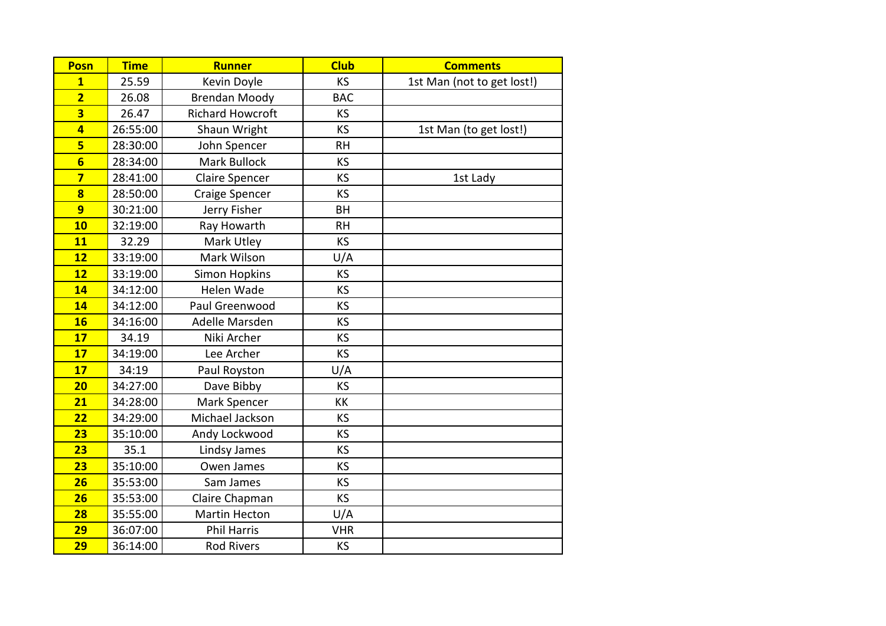| <b>Posn</b>             | <b>Time</b> | <b>Runner</b>           | <b>Club</b> | <b>Comments</b>            |
|-------------------------|-------------|-------------------------|-------------|----------------------------|
| $\overline{1}$          | 25.59       | Kevin Doyle             | <b>KS</b>   | 1st Man (not to get lost!) |
| $\overline{2}$          | 26.08       | <b>Brendan Moody</b>    | <b>BAC</b>  |                            |
| $\overline{\mathbf{3}}$ | 26.47       | <b>Richard Howcroft</b> | KS          |                            |
| $\overline{4}$          | 26:55:00    | Shaun Wright            | KS          | 1st Man (to get lost!)     |
| $5\overline{)}$         | 28:30:00    | John Spencer            | <b>RH</b>   |                            |
| $6\overline{6}$         | 28:34:00    | <b>Mark Bullock</b>     | KS          |                            |
| $\overline{\mathbf{z}}$ | 28:41:00    | <b>Claire Spencer</b>   | KS          | 1st Lady                   |
| $\overline{\mathbf{8}}$ | 28:50:00    | Craige Spencer          | KS          |                            |
| $\overline{9}$          | 30:21:00    | Jerry Fisher            | <b>BH</b>   |                            |
| 10                      | 32:19:00    | Ray Howarth             | <b>RH</b>   |                            |
| 11                      | 32.29       | Mark Utley              | KS          |                            |
| 12                      | 33:19:00    | Mark Wilson             | U/A         |                            |
| 12                      | 33:19:00    | <b>Simon Hopkins</b>    | KS          |                            |
| 14                      | 34:12:00    | Helen Wade              | KS          |                            |
| 14                      | 34:12:00    | Paul Greenwood          | KS          |                            |
| <b>16</b>               | 34:16:00    | Adelle Marsden          | KS          |                            |
| 17                      | 34.19       | Niki Archer             | KS          |                            |
| 17                      | 34:19:00    | Lee Archer              | KS          |                            |
| 17                      | 34:19       | Paul Royston            | U/A         |                            |
| 20                      | 34:27:00    | Dave Bibby              | KS          |                            |
| 21                      | 34:28:00    | Mark Spencer            | KK          |                            |
| 22                      | 34:29:00    | Michael Jackson         | KS          |                            |
| 23                      | 35:10:00    | Andy Lockwood           | KS          |                            |
| 23                      | 35.1        | Lindsy James            | KS          |                            |
| 23                      | 35:10:00    | Owen James              | KS          |                            |
| 26                      | 35:53:00    | Sam James               | KS          |                            |
| 26                      | 35:53:00    | Claire Chapman          | KS          |                            |
| 28                      | 35:55:00    | <b>Martin Hecton</b>    | U/A         |                            |
| 29                      | 36:07:00    | <b>Phil Harris</b>      | <b>VHR</b>  |                            |
| 29                      | 36:14:00    | <b>Rod Rivers</b>       | KS          |                            |